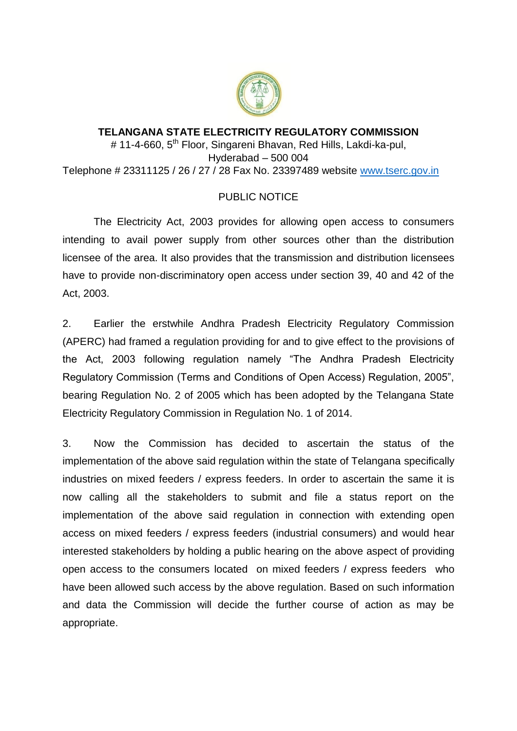

## **TELANGANA STATE ELECTRICITY REGULATORY COMMISSION** # 11-4-660, 5<sup>th</sup> Floor, Singareni Bhavan, Red Hills, Lakdi-ka-pul, Hyderabad – 500 004 Telephone # 23311125 / 26 / 27 / 28 Fax No. 23397489 website [www.tserc.gov.in](http://www.tserc.gov.in/)

## PUBLIC NOTICE

The Electricity Act, 2003 provides for allowing open access to consumers intending to avail power supply from other sources other than the distribution licensee of the area. It also provides that the transmission and distribution licensees have to provide non-discriminatory open access under section 39, 40 and 42 of the Act, 2003.

2. Earlier the erstwhile Andhra Pradesh Electricity Regulatory Commission (APERC) had framed a regulation providing for and to give effect to the provisions of the Act, 2003 following regulation namely "The Andhra Pradesh Electricity Regulatory Commission (Terms and Conditions of Open Access) Regulation, 2005", bearing Regulation No. 2 of 2005 which has been adopted by the Telangana State Electricity Regulatory Commission in Regulation No. 1 of 2014.

3. Now the Commission has decided to ascertain the status of the implementation of the above said regulation within the state of Telangana specifically industries on mixed feeders / express feeders. In order to ascertain the same it is now calling all the stakeholders to submit and file a status report on the implementation of the above said regulation in connection with extending open access on mixed feeders / express feeders (industrial consumers) and would hear interested stakeholders by holding a public hearing on the above aspect of providing open access to the consumers located on mixed feeders / express feeders who have been allowed such access by the above regulation. Based on such information and data the Commission will decide the further course of action as may be appropriate.